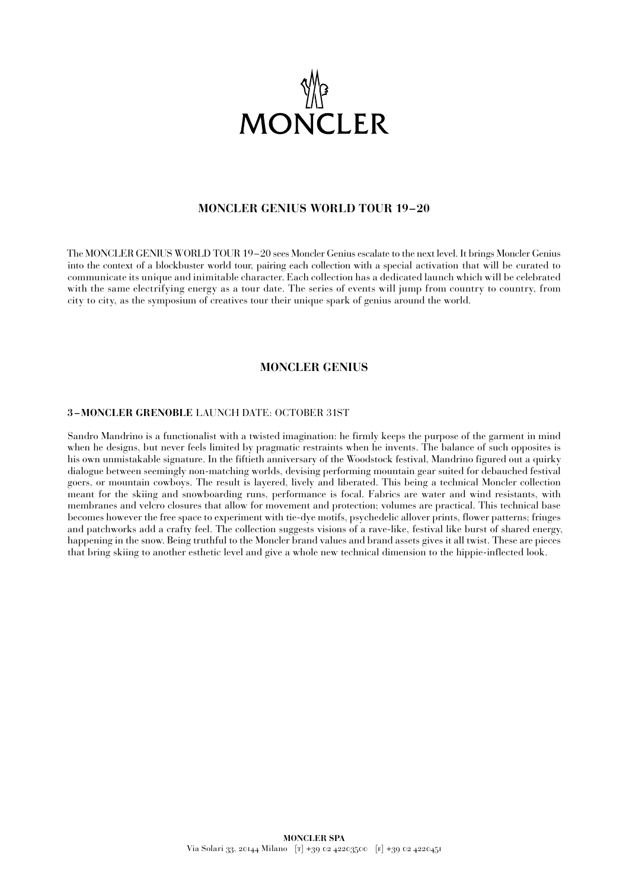

# **MONCLER GENIUS WORLD TOUR 19–20**

The MONCLER GENIUS WORLD TOUR 19–20 sees Moncler Genius escalate to the next level. It brings Moncler Genius into the context of a blockbuster world tour, pairing each collection with a special activation that will be curated to communicate its unique and inimitable character. Each collection has a dedicated launch which will be celebrated with the same electrifying energy as a tour date. The series of events will jump from country to country, from city to city, as the symposium of creatives tour their unique spark of genius around the world.

### **MONCLER GENIUS**

### **3 –MONCLER GRENOBLE** LAUNCH DATE: OCTOBER 31ST

Sandro Mandrino is a functionalist with a twisted imagination: he firmly keeps the purpose of the garment in mind when he designs, but never feels limited by pragmatic restraints when he invents. The balance of such opposites is his own unmistakable signature. In the fiftieth anniversary of the Woodstock festival, Mandrino figured out a quirky dialogue between seemingly non-matching worlds, devising performing mountain gear suited for debauched festival goers, or mountain cowboys. The result is layered, lively and liberated. This being a technical Moncler collection meant for the skiing and snowboarding runs, performance is focal. Fabrics are water and wind resistants, with membranes and velcro closures that allow for movement and protection; volumes are practical. This technical base becomes however the free space to experiment with tie-dye motifs, psychedelic allover prints, flower patterns; fringes and patchworks add a crafty feel. The collection suggests visions of a rave-like, festival like burst of shared energy, happening in the snow. Being truthful to the Moncler brand values and brand assets gives it all twist. These are pieces that bring skiing to another esthetic level and give a whole new technical dimension to the hippie-inflected look.